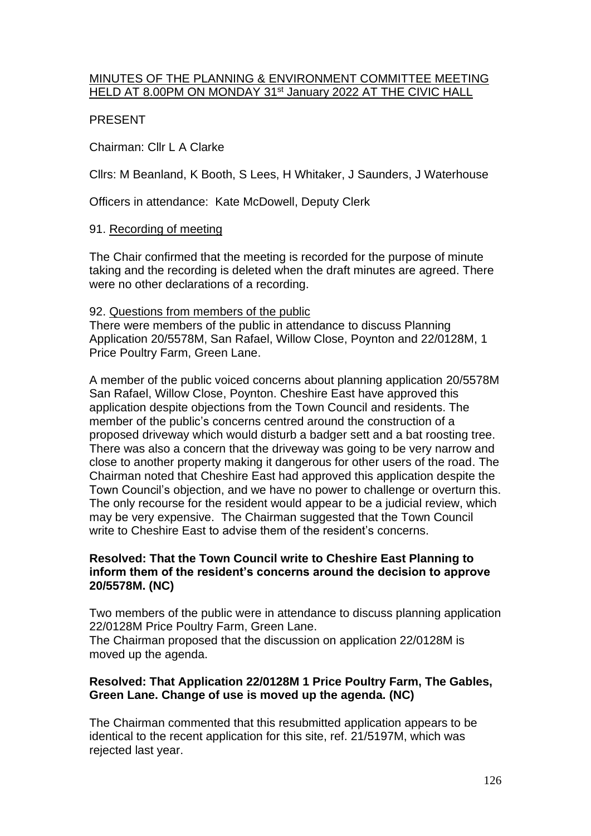# MINUTES OF THE PLANNING & ENVIRONMENT COMMITTEE MEETING HELD AT 8.00PM ON MONDAY 31<sup>st</sup> January 2022 AT THE CIVIC HALL

# PRESENT

Chairman: Cllr L A Clarke

Cllrs: M Beanland, K Booth, S Lees, H Whitaker, J Saunders, J Waterhouse

Officers in attendance: Kate McDowell, Deputy Clerk

# 91. Recording of meeting

The Chair confirmed that the meeting is recorded for the purpose of minute taking and the recording is deleted when the draft minutes are agreed. There were no other declarations of a recording.

# 92. Questions from members of the public

There were members of the public in attendance to discuss Planning Application 20/5578M, San Rafael, Willow Close, Poynton and 22/0128M, 1 Price Poultry Farm, Green Lane.

A member of the public voiced concerns about planning application 20/5578M San Rafael, Willow Close, Poynton. Cheshire East have approved this application despite objections from the Town Council and residents. The member of the public's concerns centred around the construction of a proposed driveway which would disturb a badger sett and a bat roosting tree. There was also a concern that the driveway was going to be very narrow and close to another property making it dangerous for other users of the road. The Chairman noted that Cheshire East had approved this application despite the Town Council's objection, and we have no power to challenge or overturn this. The only recourse for the resident would appear to be a judicial review, which may be very expensive. The Chairman suggested that the Town Council write to Cheshire East to advise them of the resident's concerns.

# **Resolved: That the Town Council write to Cheshire East Planning to inform them of the resident's concerns around the decision to approve 20/5578M. (NC)**

Two members of the public were in attendance to discuss planning application 22/0128M Price Poultry Farm, Green Lane.

The Chairman proposed that the discussion on application 22/0128M is moved up the agenda.

# **Resolved: That Application 22/0128M 1 Price Poultry Farm, The Gables, Green Lane. Change of use is moved up the agenda. (NC)**

The Chairman commented that this resubmitted application appears to be identical to the recent application for this site, ref. 21/5197M, which was rejected last year.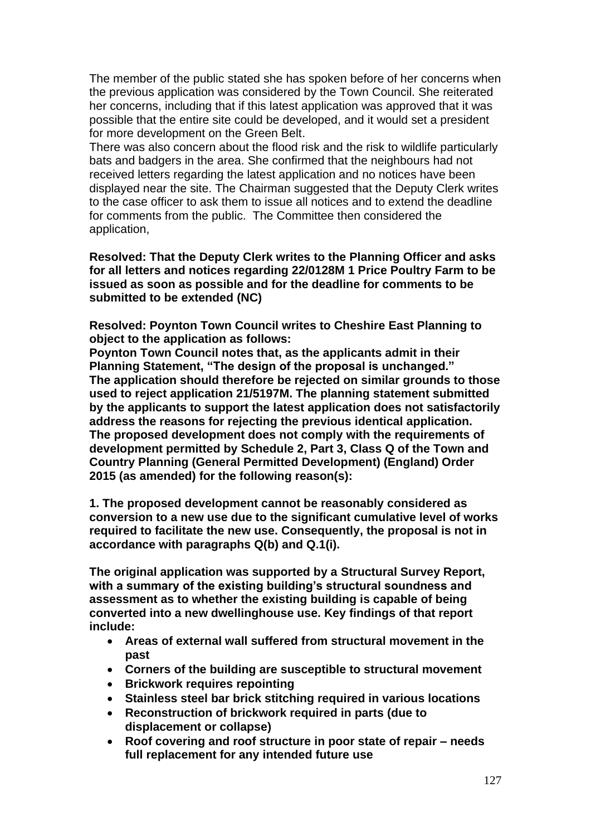The member of the public stated she has spoken before of her concerns when the previous application was considered by the Town Council. She reiterated her concerns, including that if this latest application was approved that it was possible that the entire site could be developed, and it would set a president for more development on the Green Belt.

There was also concern about the flood risk and the risk to wildlife particularly bats and badgers in the area. She confirmed that the neighbours had not received letters regarding the latest application and no notices have been displayed near the site. The Chairman suggested that the Deputy Clerk writes to the case officer to ask them to issue all notices and to extend the deadline for comments from the public. The Committee then considered the application,

**Resolved: That the Deputy Clerk writes to the Planning Officer and asks for all letters and notices regarding 22/0128M 1 Price Poultry Farm to be issued as soon as possible and for the deadline for comments to be submitted to be extended (NC)**

**Resolved: Poynton Town Council writes to Cheshire East Planning to object to the application as follows:**

**Poynton Town Council notes that, as the applicants admit in their Planning Statement, "The design of the proposal is unchanged." The application should therefore be rejected on similar grounds to those used to reject application 21/5197M. The planning statement submitted by the applicants to support the latest application does not satisfactorily address the reasons for rejecting the previous identical application. The proposed development does not comply with the requirements of development permitted by Schedule 2, Part 3, Class Q of the Town and Country Planning (General Permitted Development) (England) Order 2015 (as amended) for the following reason(s):**

**1. The proposed development cannot be reasonably considered as conversion to a new use due to the significant cumulative level of works required to facilitate the new use. Consequently, the proposal is not in accordance with paragraphs Q(b) and Q.1(i).**

**The original application was supported by a Structural Survey Report, with a summary of the existing building's structural soundness and assessment as to whether the existing building is capable of being converted into a new dwellinghouse use. Key findings of that report include:**

- **Areas of external wall suffered from structural movement in the past**
- **Corners of the building are susceptible to structural movement**
- **Brickwork requires repointing**
- **Stainless steel bar brick stitching required in various locations**
- **Reconstruction of brickwork required in parts (due to displacement or collapse)**
- **Roof covering and roof structure in poor state of repair – needs full replacement for any intended future use**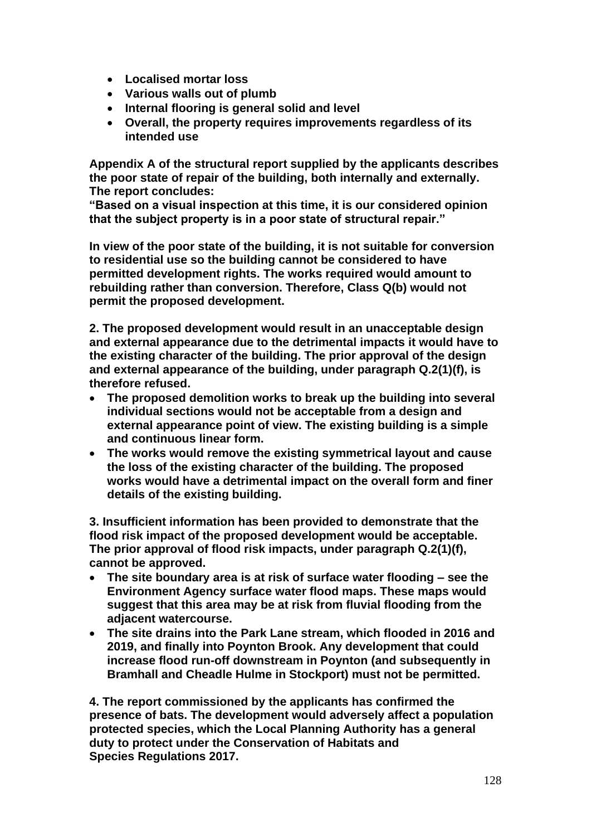- **Localised mortar loss**
- **Various walls out of plumb**
- **Internal flooring is general solid and level**
- **Overall, the property requires improvements regardless of its intended use**

**Appendix A of the structural report supplied by the applicants describes the poor state of repair of the building, both internally and externally. The report concludes:**

**"Based on a visual inspection at this time, it is our considered opinion that the subject property is in a poor state of structural repair."**

**In view of the poor state of the building, it is not suitable for conversion to residential use so the building cannot be considered to have permitted development rights. The works required would amount to rebuilding rather than conversion. Therefore, Class Q(b) would not permit the proposed development.**

**2. The proposed development would result in an unacceptable design and external appearance due to the detrimental impacts it would have to the existing character of the building. The prior approval of the design and external appearance of the building, under paragraph Q.2(1)(f), is therefore refused.**

- **The proposed demolition works to break up the building into several individual sections would not be acceptable from a design and external appearance point of view. The existing building is a simple and continuous linear form.**
- **The works would remove the existing symmetrical layout and cause the loss of the existing character of the building. The proposed works would have a detrimental impact on the overall form and finer details of the existing building.**

**3. Insufficient information has been provided to demonstrate that the flood risk impact of the proposed development would be acceptable. The prior approval of flood risk impacts, under paragraph Q.2(1)(f), cannot be approved.**

- **The site boundary area is at risk of surface water flooding – see the Environment Agency surface water flood maps. These maps would suggest that this area may be at risk from fluvial flooding from the adjacent watercourse.**
- **The site drains into the Park Lane stream, which flooded in 2016 and 2019, and finally into Poynton Brook. Any development that could increase flood run-off downstream in Poynton (and subsequently in Bramhall and Cheadle Hulme in Stockport) must not be permitted.**

**4. The report commissioned by the applicants has confirmed the presence of bats. The development would adversely affect a population protected species, which the Local Planning Authority has a general duty to protect under the Conservation of Habitats and Species Regulations 2017.**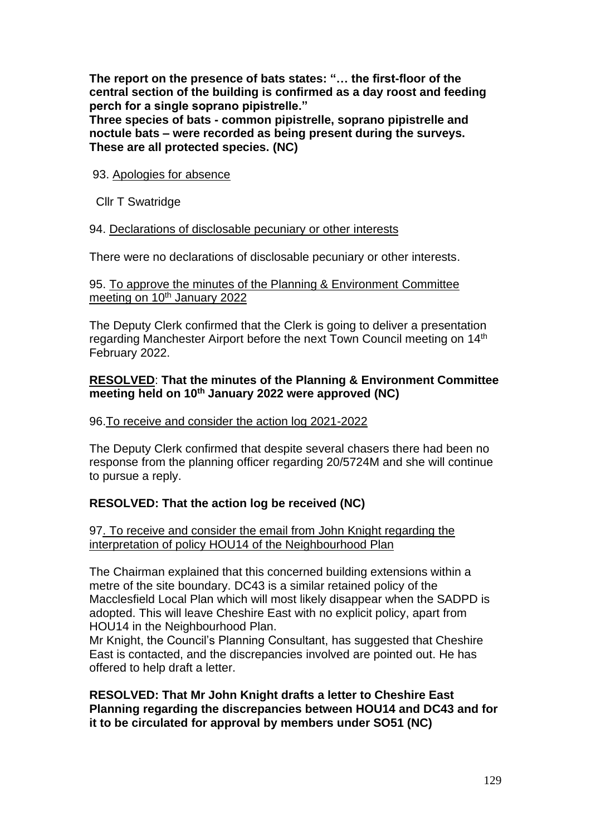**The report on the presence of bats states: "… the first-floor of the central section of the building is confirmed as a day roost and feeding perch for a single soprano pipistrelle."**

**Three species of bats - common pipistrelle, soprano pipistrelle and noctule bats – were recorded as being present during the surveys. These are all protected species. (NC)**

#### 93. Apologies for absence

Cllr T Swatridge

#### 94. Declarations of disclosable pecuniary or other interests

There were no declarations of disclosable pecuniary or other interests.

#### 95. To approve the minutes of the Planning & Environment Committee meeting on 10<sup>th</sup> January 2022

The Deputy Clerk confirmed that the Clerk is going to deliver a presentation regarding Manchester Airport before the next Town Council meeting on 14<sup>th</sup> February 2022.

# **RESOLVED**: **That the minutes of the Planning & Environment Committee meeting held on 10th January 2022 were approved (NC)**

# 96.To receive and consider the action log 2021-2022

The Deputy Clerk confirmed that despite several chasers there had been no response from the planning officer regarding 20/5724M and she will continue to pursue a reply.

# **RESOLVED: That the action log be received (NC)**

97. To receive and consider the email from John Knight regarding the interpretation of policy HOU14 of the Neighbourhood Plan

The Chairman explained that this concerned building extensions within a metre of the site boundary. DC43 is a similar retained policy of the Macclesfield Local Plan which will most likely disappear when the SADPD is adopted. This will leave Cheshire East with no explicit policy, apart from HOU14 in the Neighbourhood Plan.

Mr Knight, the Council's Planning Consultant, has suggested that Cheshire East is contacted, and the discrepancies involved are pointed out. He has offered to help draft a letter.

**RESOLVED: That Mr John Knight drafts a letter to Cheshire East Planning regarding the discrepancies between HOU14 and DC43 and for it to be circulated for approval by members under SO51 (NC)**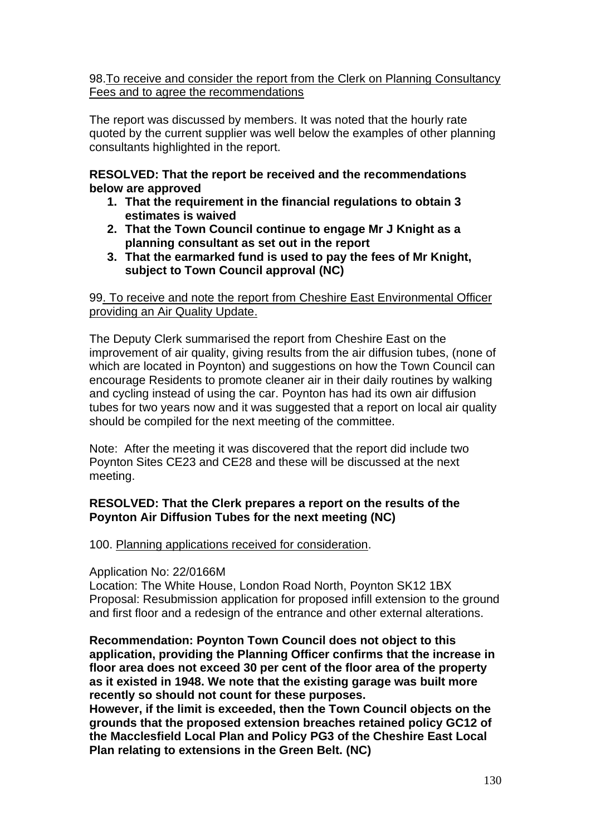# 98.To receive and consider the report from the Clerk on Planning Consultancy Fees and to agree the recommendations

The report was discussed by members. It was noted that the hourly rate quoted by the current supplier was well below the examples of other planning consultants highlighted in the report.

**RESOLVED: That the report be received and the recommendations below are approved** 

- **1. That the requirement in the financial regulations to obtain 3 estimates is waived**
- **2. That the Town Council continue to engage Mr J Knight as a planning consultant as set out in the report**
- **3. That the earmarked fund is used to pay the fees of Mr Knight, subject to Town Council approval (NC)**

# 99. To receive and note the report from Cheshire East Environmental Officer providing an Air Quality Update.

The Deputy Clerk summarised the report from Cheshire East on the improvement of air quality, giving results from the air diffusion tubes, (none of which are located in Poynton) and suggestions on how the Town Council can encourage Residents to promote cleaner air in their daily routines by walking and cycling instead of using the car. Poynton has had its own air diffusion tubes for two years now and it was suggested that a report on local air quality should be compiled for the next meeting of the committee.

Note: After the meeting it was discovered that the report did include two Poynton Sites CE23 and CE28 and these will be discussed at the next meeting.

# **RESOLVED: That the Clerk prepares a report on the results of the Poynton Air Diffusion Tubes for the next meeting (NC)**

100. Planning applications received for consideration.

# Application No: 22/0166M

Location: The White House, London Road North, Poynton SK12 1BX Proposal: Resubmission application for proposed infill extension to the ground and first floor and a redesign of the entrance and other external alterations.

**Recommendation: Poynton Town Council does not object to this application, providing the Planning Officer confirms that the increase in floor area does not exceed 30 per cent of the floor area of the property as it existed in 1948. We note that the existing garage was built more recently so should not count for these purposes.**

**However, if the limit is exceeded, then the Town Council objects on the grounds that the proposed extension breaches retained policy GC12 of the Macclesfield Local Plan and Policy PG3 of the Cheshire East Local Plan relating to extensions in the Green Belt. (NC)**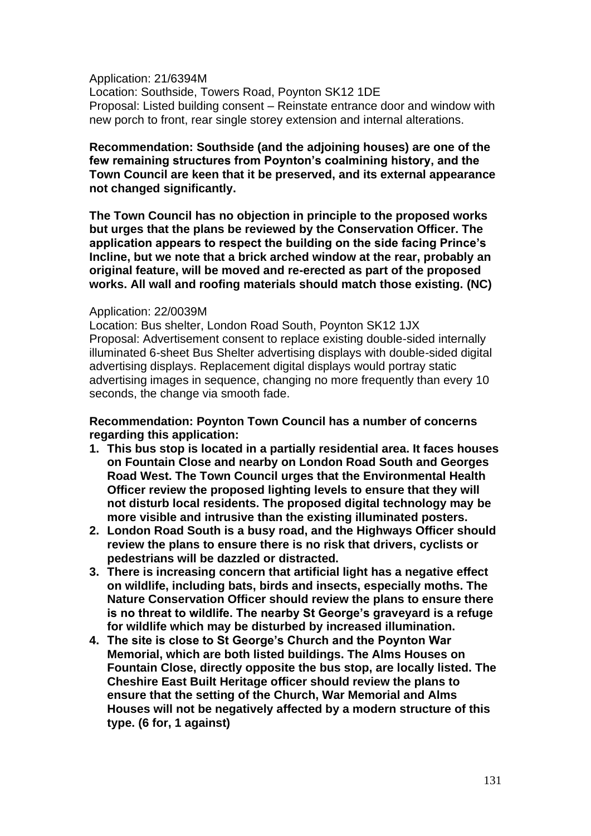Application: 21/6394M

Location: Southside, Towers Road, Poynton SK12 1DE Proposal: Listed building consent – Reinstate entrance door and window with new porch to front, rear single storey extension and internal alterations.

**Recommendation: Southside (and the adjoining houses) are one of the few remaining structures from Poynton's coalmining history, and the Town Council are keen that it be preserved, and its external appearance not changed significantly.**

**The Town Council has no objection in principle to the proposed works but urges that the plans be reviewed by the Conservation Officer. The application appears to respect the building on the side facing Prince's Incline, but we note that a brick arched window at the rear, probably an original feature, will be moved and re-erected as part of the proposed works. All wall and roofing materials should match those existing. (NC)**

#### Application: 22/0039M

Location: Bus shelter, London Road South, Poynton SK12 1JX Proposal: Advertisement consent to replace existing double-sided internally illuminated 6-sheet Bus Shelter advertising displays with double-sided digital advertising displays. Replacement digital displays would portray static advertising images in sequence, changing no more frequently than every 10 seconds, the change via smooth fade.

**Recommendation: Poynton Town Council has a number of concerns regarding this application:**

- **1. This bus stop is located in a partially residential area. It faces houses on Fountain Close and nearby on London Road South and Georges Road West. The Town Council urges that the Environmental Health Officer review the proposed lighting levels to ensure that they will not disturb local residents. The proposed digital technology may be more visible and intrusive than the existing illuminated posters.**
- **2. London Road South is a busy road, and the Highways Officer should review the plans to ensure there is no risk that drivers, cyclists or pedestrians will be dazzled or distracted.**
- **3. There is increasing concern that artificial light has a negative effect on wildlife, including bats, birds and insects, especially moths. The Nature Conservation Officer should review the plans to ensure there is no threat to wildlife. The nearby St George's graveyard is a refuge for wildlife which may be disturbed by increased illumination.**
- **4. The site is close to St George's Church and the Poynton War Memorial, which are both listed buildings. The Alms Houses on Fountain Close, directly opposite the bus stop, are locally listed. The Cheshire East Built Heritage officer should review the plans to ensure that the setting of the Church, War Memorial and Alms Houses will not be negatively affected by a modern structure of this type. (6 for, 1 against)**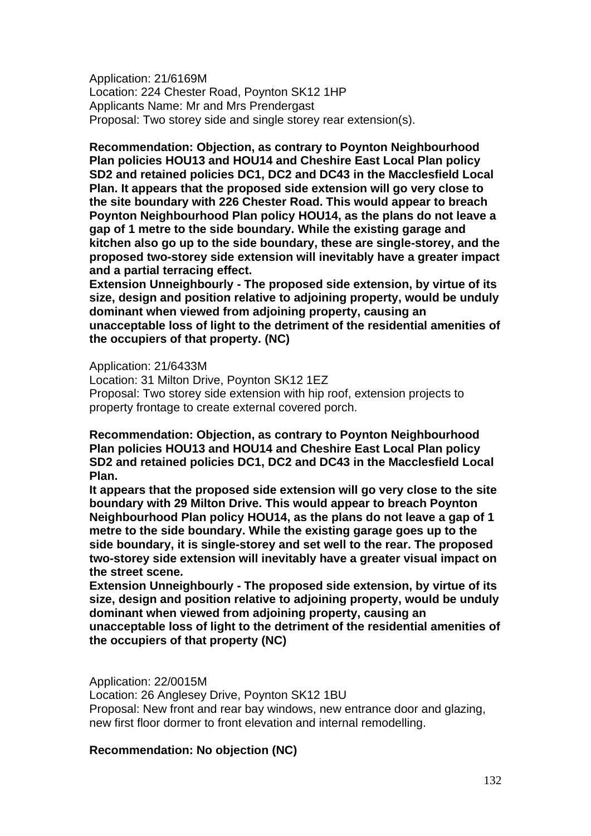Application: 21/6169M Location: 224 Chester Road, Poynton SK12 1HP Applicants Name: Mr and Mrs Prendergast Proposal: Two storey side and single storey rear extension(s).

**Recommendation: Objection, as contrary to Poynton Neighbourhood Plan policies HOU13 and HOU14 and Cheshire East Local Plan policy SD2 and retained policies DC1, DC2 and DC43 in the Macclesfield Local Plan. It appears that the proposed side extension will go very close to the site boundary with 226 Chester Road. This would appear to breach Poynton Neighbourhood Plan policy HOU14, as the plans do not leave a gap of 1 metre to the side boundary. While the existing garage and kitchen also go up to the side boundary, these are single-storey, and the proposed two-storey side extension will inevitably have a greater impact and a partial terracing effect.**

**Extension Unneighbourly - The proposed side extension, by virtue of its size, design and position relative to adjoining property, would be unduly dominant when viewed from adjoining property, causing an unacceptable loss of light to the detriment of the residential amenities of the occupiers of that property. (NC)**

Application: 21/6433M Location: 31 Milton Drive, Poynton SK12 1EZ Proposal: Two storey side extension with hip roof, extension projects to property frontage to create external covered porch.

**Recommendation: Objection, as contrary to Poynton Neighbourhood Plan policies HOU13 and HOU14 and Cheshire East Local Plan policy SD2 and retained policies DC1, DC2 and DC43 in the Macclesfield Local Plan.**

**It appears that the proposed side extension will go very close to the site boundary with 29 Milton Drive. This would appear to breach Poynton Neighbourhood Plan policy HOU14, as the plans do not leave a gap of 1 metre to the side boundary. While the existing garage goes up to the side boundary, it is single-storey and set well to the rear. The proposed two-storey side extension will inevitably have a greater visual impact on the street scene.**

**Extension Unneighbourly - The proposed side extension, by virtue of its size, design and position relative to adjoining property, would be unduly dominant when viewed from adjoining property, causing an unacceptable loss of light to the detriment of the residential amenities of the occupiers of that property (NC)**

Application: 22/0015M

Location: 26 Anglesey Drive, Poynton SK12 1BU

Proposal: New front and rear bay windows, new entrance door and glazing, new first floor dormer to front elevation and internal remodelling.

# **Recommendation: No objection (NC)**